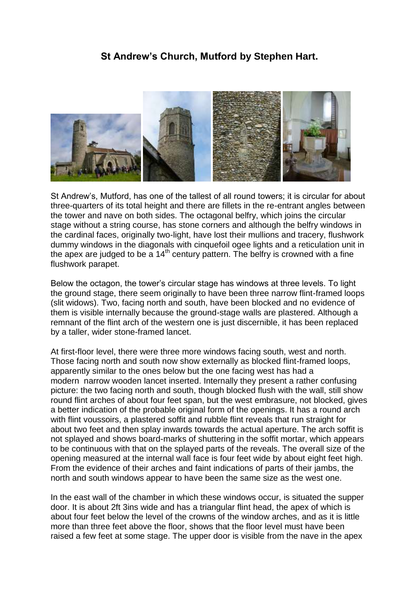## **St Andrew's Church, Mutford by Stephen Hart.**



St Andrew's, Mutford, has one of the tallest of all round towers; it is circular for about three-quarters of its total height and there are fillets in the re-entrant angles between the tower and nave on both sides. The octagonal belfry, which joins the circular stage without a string course, has stone corners and although the belfry windows in the cardinal faces, originally two-light, have lost their mullions and tracery, flushwork dummy windows in the diagonals with cinquefoil ogee lights and a reticulation unit in the apex are judged to be a  $14<sup>th</sup>$  century pattern. The belfry is crowned with a fine flushwork parapet.

Below the octagon, the tower's circular stage has windows at three levels. To light the ground stage, there seem originally to have been three narrow flint-framed loops (slit widows). Two, facing north and south, have been blocked and no evidence of them is visible internally because the ground-stage walls are plastered. Although a remnant of the flint arch of the western one is just discernible, it has been replaced by a taller, wider stone-framed lancet.

At first-floor level, there were three more windows facing south, west and north. Those facing north and south now show externally as blocked flint-framed loops, apparently similar to the ones below but the one facing west has had a modern narrow wooden lancet inserted. Internally they present a rather confusing picture: the two facing north and south, though blocked flush with the wall, still show round flint arches of about four feet span, but the west embrasure, not blocked, gives a better indication of the probable original form of the openings. It has a round arch with flint voussoirs, a plastered soffit and rubble flint reveals that run straight for about two feet and then splay inwards towards the actual aperture. The arch soffit is not splayed and shows board-marks of shuttering in the soffit mortar, which appears to be continuous with that on the splayed parts of the reveals. The overall size of the opening measured at the internal wall face is four feet wide by about eight feet high. From the evidence of their arches and faint indications of parts of their jambs, the north and south windows appear to have been the same size as the west one.

In the east wall of the chamber in which these windows occur, is situated the supper door. It is about 2ft 3ins wide and has a triangular flint head, the apex of which is about four feet below the level of the crowns of the window arches, and as it is little more than three feet above the floor, shows that the floor level must have been raised a few feet at some stage. The upper door is visible from the nave in the apex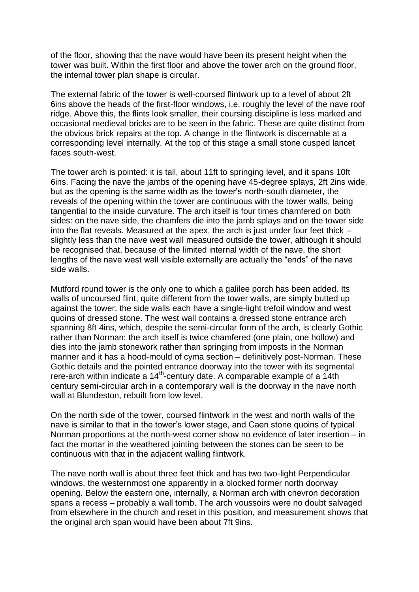of the floor, showing that the nave would have been its present height when the tower was built. Within the first floor and above the tower arch on the ground floor, the internal tower plan shape is circular.

The external fabric of the tower is well-coursed flintwork up to a level of about 2ft 6ins above the heads of the first-floor windows, i.e. roughly the level of the nave roof ridge. Above this, the flints look smaller, their coursing discipline is less marked and occasional medieval bricks are to be seen in the fabric. These are quite distinct from the obvious brick repairs at the top. A change in the flintwork is discernable at a corresponding level internally. At the top of this stage a small stone cusped lancet faces south-west.

The tower arch is pointed: it is tall, about 11ft to springing level, and it spans 10ft 6ins. Facing the nave the jambs of the opening have 45-degree splays, 2ft 2ins wide, but as the opening is the same width as the tower's north-south diameter, the reveals of the opening within the tower are continuous with the tower walls, being tangential to the inside curvature. The arch itself is four times chamfered on both sides: on the nave side, the chamfers die into the jamb splays and on the tower side into the flat reveals. Measured at the apex, the arch is just under four feet thick – slightly less than the nave west wall measured outside the tower, although it should be recognised that, because of the limited internal width of the nave, the short lengths of the nave west wall visible externally are actually the "ends" of the nave side walls.

Mutford round tower is the only one to which a galilee porch has been added. Its walls of uncoursed flint, quite different from the tower walls, are simply butted up against the tower; the side walls each have a single-light trefoil window and west quoins of dressed stone. The west wall contains a dressed stone entrance arch spanning 8ft 4ins, which, despite the semi-circular form of the arch, is clearly Gothic rather than Norman: the arch itself is twice chamfered (one plain, one hollow) and dies into the jamb stonework rather than springing from imposts in the Norman manner and it has a hood-mould of cyma section – definitively post-Norman. These Gothic details and the pointed entrance doorway into the tower with its segmental rere-arch within indicate a 14<sup>th</sup>-century date. A comparable example of a 14th century semi-circular arch in a contemporary wall is the doorway in the nave north wall at Blundeston, rebuilt from low level.

On the north side of the tower, coursed flintwork in the west and north walls of the nave is similar to that in the tower's lower stage, and Caen stone quoins of typical Norman proportions at the north-west corner show no evidence of later insertion – in fact the mortar in the weathered jointing between the stones can be seen to be continuous with that in the adjacent walling flintwork.

The nave north wall is about three feet thick and has two two-light Perpendicular windows, the westernmost one apparently in a blocked former north doorway opening. Below the eastern one, internally, a Norman arch with chevron decoration spans a recess – probably a wall tomb. The arch voussoirs were no doubt salvaged from elsewhere in the church and reset in this position, and measurement shows that the original arch span would have been about 7ft 9ins.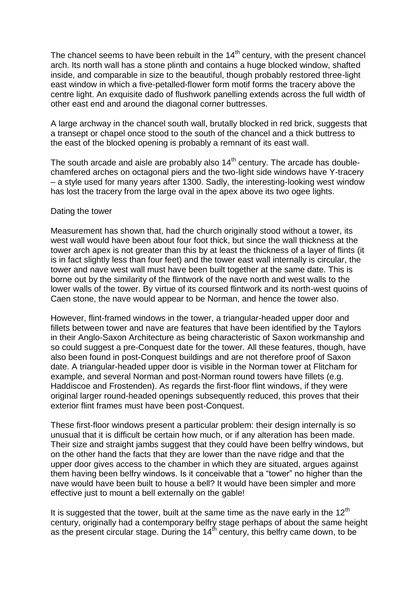The chancel seems to have been rebuilt in the  $14<sup>th</sup>$  century, with the present chancel arch. Its north wall has a stone plinth and contains a huge blocked window, shafted inside, and comparable in size to the beautiful, though probably restored three-light east window in which a five-petalled-flower form motif forms the tracery above the centre light. An exquisite dado of flushwork panelling extends across the full width of other east end and around the diagonal corner buttresses.

A large archway in the chancel south wall, brutally blocked in red brick, suggests that a transept or chapel once stood to the south of the chancel and a thick buttress to the east of the blocked opening is probably a remnant of its east wall.

The south arcade and aisle are probably also  $14<sup>th</sup>$  century. The arcade has doublechamfered arches on octagonal piers and the two-light side windows have Y-tracery – a style used for many years after 1300. Sadly, the interesting-looking west window has lost the tracery from the large oval in the apex above its two ogee lights.

## Dating the tower

Measurement has shown that, had the church originally stood without a tower, its west wall would have been about four foot thick, but since the wall thickness at the tower arch apex is not greater than this by at least the thickness of a layer of flints (it is in fact slightly less than four feet) and the tower east wall internally is circular, the tower and nave west wall must have been built together at the same date. This is borne out by the similarity of the flintwork of the nave north and west walls to the lower walls of the tower. By virtue of its coursed flintwork and its north-west quoins of Caen stone, the nave would appear to be Norman, and hence the tower also.

However, flint-framed windows in the tower, a triangular-headed upper door and fillets between tower and nave are features that have been identified by the Taylors in their Anglo-Saxon Architecture as being characteristic of Saxon workmanship and so could suggest a pre-Conquest date for the tower. All these features, though, have also been found in post-Conquest buildings and are not therefore proof of Saxon date. A triangular-headed upper door is visible in the Norman tower at Flitcham for example, and several Norman and post-Norman round towers have fillets (e.g. Haddiscoe and Frostenden). As regards the first-floor flint windows, if they were original larger round-headed openings subsequently reduced, this proves that their exterior flint frames must have been post-Conquest.

These first-floor windows present a particular problem: their design internally is so unusual that it is difficult be certain how much, or if any alteration has been made. Their size and straight jambs suggest that they could have been belfry windows, but on the other hand the facts that they are lower than the nave ridge and that the upper door gives access to the chamber in which they are situated, argues against them having been belfry windows. Is it conceivable that a "tower" no higher than the nave would have been built to house a bell? It would have been simpler and more effective just to mount a bell externally on the gable!

It is suggested that the tower, built at the same time as the nave early in the  $12<sup>th</sup>$ century, originally had a contemporary belfry stage perhaps of about the same height as the present circular stage. During the  $14<sup>th</sup>$  century, this belfry came down, to be